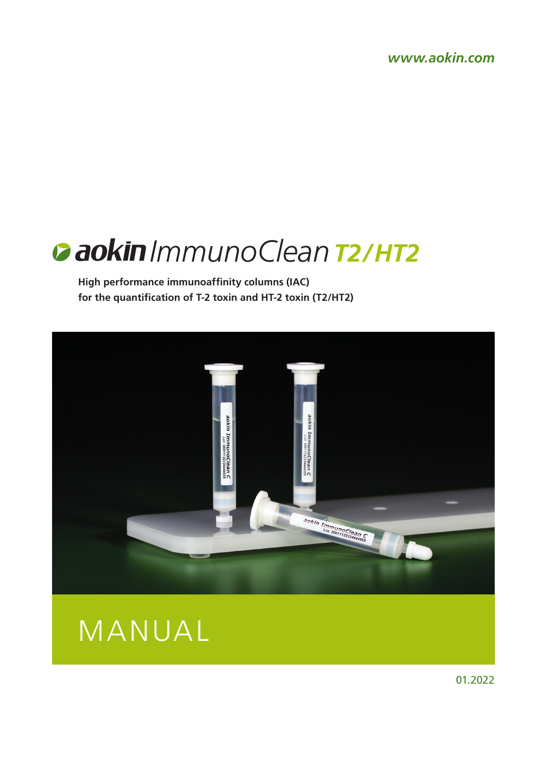*www.aokin.com*

# *ImmunoCleanT2/HT2*

**High performance immunoaffinity columns (IAC) for the quantification of T-2 toxin and HT-2 toxin (T2/HT2)**





01.2022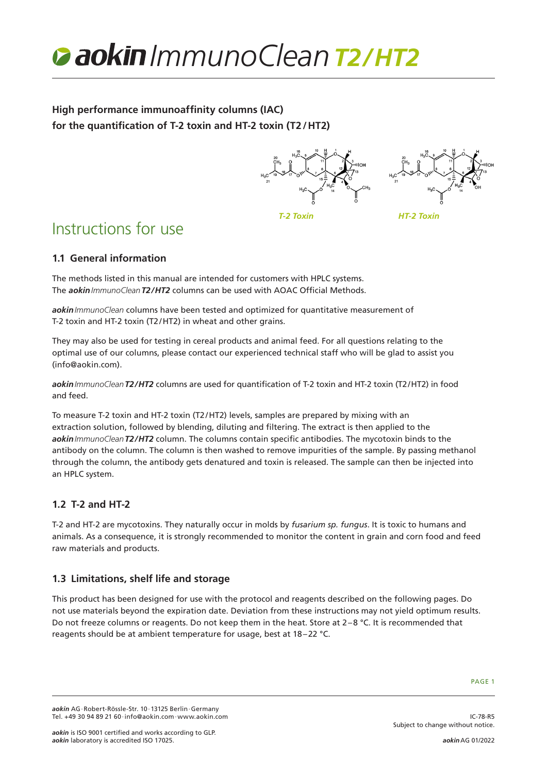

**High performance immunoaffinity columns (IAC) for the quantification of T-2 toxin and HT-2 toxin (T2/HT2)**





*T-2 Toxin HT-2 Toxin*

# Instructions for use

# **1.1 General information**

The methods listed in this manual are intended for customers with HPLC systems. The *aokinImmunoCleanT2/HT2* columns can be used with AOAC Official Methods.

*aokinImmunoClean* columns have been tested and optimized for quantitative measurement of T-2 toxin and HT-2 toxin (T2/HT2) in wheat and other grains.

They may also be used for testing in cereal products and animal feed. For all questions relating to the optimal use of our columns, please contact our experienced technical staff who will be glad to assist you (info@aokin.com).

*aokinImmunoCleanT2/HT2* columns are used for quantification of T-2 toxin and HT-2 toxin (T2/HT2) in food and feed.

To measure T-2 toxin and HT-2 toxin (T2/HT2) levels, samples are prepared by mixing with an extraction solution, followed by blending, diluting and filtering. The extract is then applied to the *aokinImmunoCleanT2/HT2* column. The columns contain specific antibodies. The mycotoxin binds to the antibody on the column. The column is then washed to remove impurities of the sample. By passing methanol through the column, the antibody gets denatured and toxin is released. The sample can then be injected into an HPLC system.

# **1.2 T-2 and HT-2**

T-2 and HT-2 are mycotoxins. They naturally occur in molds by *fusarium sp. fungus*. It is toxic to humans and animals. As a consequence, it is strongly recommended to monitor the content in grain and corn food and feed raw materials and products.

# **1.3 Limitations, shelf life and storage**

This product has been designed for use with the protocol and reagents described on the following pages. Do not use materials beyond the expiration date. Deviation from these instructions may not yield optimum results. Do not freeze columns or reagents. Do not keep them in the heat. Store at 2–8 °C. It is recommended that reagents should be at ambient temperature for usage, best at 18–22 °C.

IC-78-R5

*aokin* AG·Robert-Rössle-Str. 10·13125 Berlin·Germany Tel. +49 30 94 89 21 60·info@aokin.com·www.aokin.com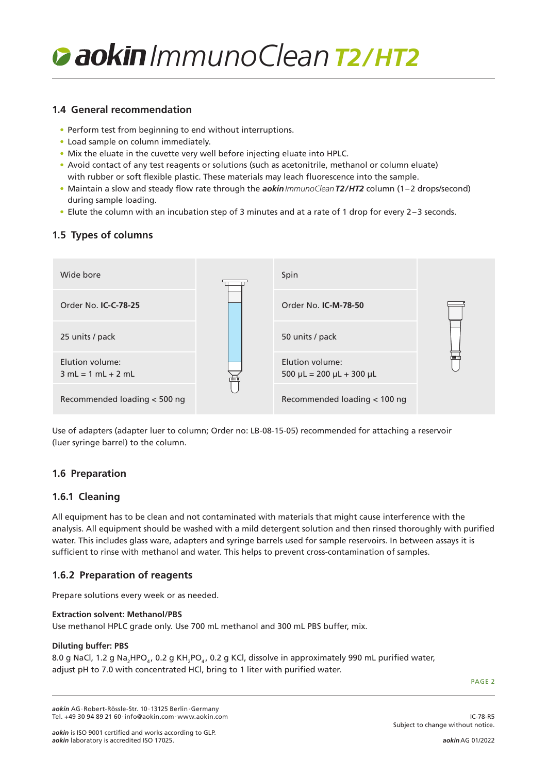

### **1.4 General recommendation**

- Perform test from beginning to end without interruptions.
- Load sample on column immediately.
- Mix the eluate in the cuvette very well before injecting eluate into HPLC.
- Avoid contact of any test reagents or solutions (such as acetonitrile, methanol or column eluate) with rubber or soft flexible plastic. These materials may leach fluorescence into the sample.
- Maintain a slow and steady flow rate through the *aokinImmunoCleanT2/HT2* column (1–2 drops/second) during sample loading.
- Elute the column with an incubation step of 3 minutes and at a rate of 1 drop for every 2–3 seconds.

# **1.5 Types of columns**

| Wide bore                               |  | Spin                                                   | तातात |
|-----------------------------------------|--|--------------------------------------------------------|-------|
| Order No. <b>IC-C-78-25</b>             |  | Order No. <b>IC-M-78-50</b>                            |       |
| 25 units / pack                         |  | 50 units / pack                                        |       |
| Elution volume:<br>$3 mL = 1 mL + 2 mL$ |  | Elution volume:<br>$500 \mu L = 200 \mu L + 300 \mu L$ |       |
| Recommended loading < 500 ng            |  | Recommended loading < 100 ng                           |       |

Use of adapters (adapter luer to column; Order no: LB-08-15-05) recommended for attaching a reservoir (luer syringe barrel) to the column.

# **1.6 Preparation**

# **1.6.1 Cleaning**

All equipment has to be clean and not contaminated with materials that might cause interference with the analysis. All equipment should be washed with a mild detergent solution and then rinsed thoroughly with purified water. This includes glass ware, adapters and syringe barrels used for sample reservoirs. In between assays it is sufficient to rinse with methanol and water. This helps to prevent cross-contamination of samples.

# **1.6.2 Preparation of reagents**

Prepare solutions every week or as needed.

#### **Extraction solvent: Methanol/PBS**

Use methanol HPLC grade only. Use 700 mL methanol and 300 mL PBS buffer, mix.

#### **Diluting buffer: PBS**

8.0 g NaCl, 1.2 g Na<sub>2</sub>HPO<sub>4</sub>, 0.2 g KH<sub>2</sub>PO<sub>4</sub>, 0.2 g KCl, dissolve in approximately 990 mL purified water, adjust pH to 7.0 with concentrated HCl, bring to 1 liter with purified water.

PAGE 2

IC-78-R5

*aokin* AG·Robert-Rössle-Str. 10·13125 Berlin·Germany Tel. +49 30 94 89 21 60·info@aokin.com·www.aokin.com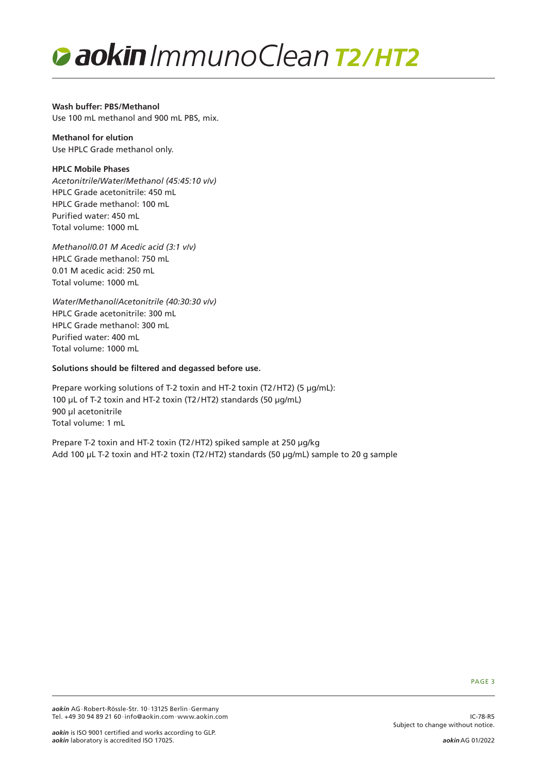

**Wash buffer: PBS/Methanol** Use 100 mL methanol and 900 mL PBS, mix.

**Methanol for elution** Use HPLC Grade methanol only.

#### **HPLC Mobile Phases**

*Acetonitrile/Water/Methanol (45:45:10 v/v)* HPLC Grade acetonitrile: 450 mL HPLC Grade methanol: 100 mL Purified water: 450 mL Total volume: 1000 mL

*Methanol/0.01 M Acedic acid (3:1 v/v)* HPLC Grade methanol: 750 mL 0.01 M acedic acid: 250 mL Total volume: 1000 mL

*Water/Methanol/Acetonitrile (40:30:30 v/v)* HPLC Grade acetonitrile: 300 mL HPLC Grade methanol: 300 mL Purified water: 400 mL Total volume: 1000 mL

#### **Solutions should be filtered and degassed before use.**

Prepare working solutions of T-2 toxin and HT-2 toxin (T2/HT2) (5 µg/mL): 100 µL of T-2 toxin and HT-2 toxin (T2/HT2) standards (50 µg/mL) 900 µl acetonitrile Total volume: 1 mL

Prepare T-2 toxin and HT-2 toxin (T2/HT2) spiked sample at 250 µg/kg Add 100 µL T-2 toxin and HT-2 toxin (T2/HT2) standards (50 µg/mL) sample to 20 g sample

PAGE 3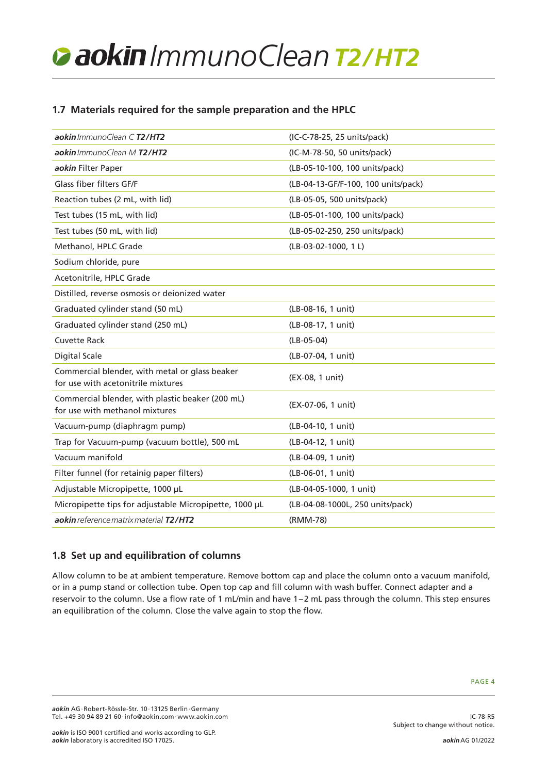# *ImmunoCleanT2/HT2*

# **1.7 Materials required for the sample preparation and the HPLC**

| aokin ImmunoClean C T2/HT2                                                           | (IC-C-78-25, 25 units/pack)         |
|--------------------------------------------------------------------------------------|-------------------------------------|
| aokin ImmunoClean M T2/HT2                                                           | (IC-M-78-50, 50 units/pack)         |
| aokin Filter Paper                                                                   | (LB-05-10-100, 100 units/pack)      |
| Glass fiber filters GF/F                                                             | (LB-04-13-GF/F-100, 100 units/pack) |
| Reaction tubes (2 mL, with lid)                                                      | (LB-05-05, 500 units/pack)          |
| Test tubes (15 mL, with lid)                                                         | (LB-05-01-100, 100 units/pack)      |
| Test tubes (50 mL, with lid)                                                         | (LB-05-02-250, 250 units/pack)      |
| Methanol, HPLC Grade                                                                 | $(LB-03-02-1000, 1 L)$              |
| Sodium chloride, pure                                                                |                                     |
| Acetonitrile, HPLC Grade                                                             |                                     |
| Distilled, reverse osmosis or deionized water                                        |                                     |
| Graduated cylinder stand (50 mL)                                                     | (LB-08-16, 1 unit)                  |
| Graduated cylinder stand (250 mL)                                                    | (LB-08-17, 1 unit)                  |
| <b>Cuvette Rack</b>                                                                  | $(LB-05-04)$                        |
| <b>Digital Scale</b>                                                                 | (LB-07-04, 1 unit)                  |
| Commercial blender, with metal or glass beaker<br>for use with acetonitrile mixtures | (EX-08, 1 unit)                     |
| Commercial blender, with plastic beaker (200 mL)<br>for use with methanol mixtures   | (EX-07-06, 1 unit)                  |
| Vacuum-pump (diaphragm pump)                                                         | (LB-04-10, 1 unit)                  |
| Trap for Vacuum-pump (vacuum bottle), 500 mL                                         | (LB-04-12, 1 unit)                  |
| Vacuum manifold                                                                      | (LB-04-09, 1 unit)                  |
| Filter funnel (for retainig paper filters)                                           | (LB-06-01, 1 unit)                  |
| Adjustable Micropipette, 1000 µL                                                     | (LB-04-05-1000, 1 unit)             |
| Micropipette tips for adjustable Micropipette, 1000 µL                               | (LB-04-08-1000L, 250 units/pack)    |
| aokin reference matrix material T2/HT2                                               | (RMM-78)                            |

# **1.8 Set up and equilibration of columns**

Allow column to be at ambient temperature. Remove bottom cap and place the column onto a vacuum manifold, or in a pump stand or collection tube. Open top cap and fill column with wash buffer. Connect adapter and a reservoir to the column. Use a flow rate of 1 mL/min and have 1–2 mL pass through the column. This step ensures an equilibration of the column. Close the valve again to stop the flow.

IC-78-R5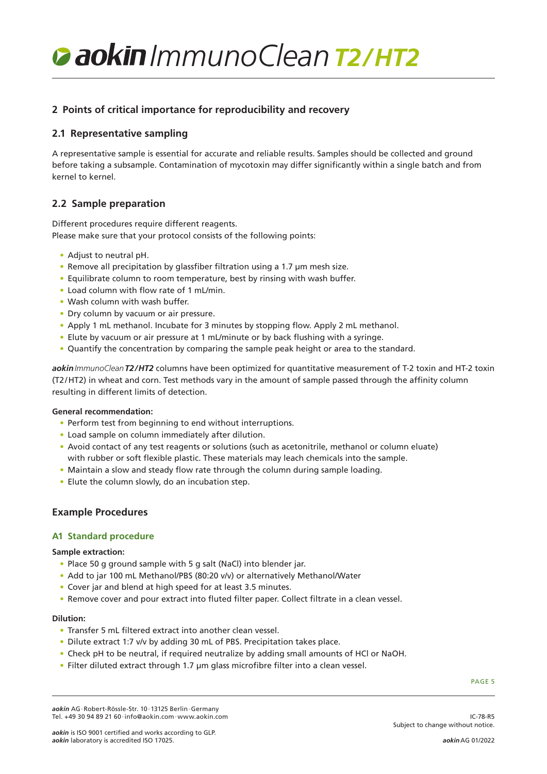*ImmunoCleanT2/HT2*

# **2 Points of critical importance for reproducibility and recovery**

### **2.1 Representative sampling**

A representative sample is essential for accurate and reliable results. Samples should be collected and ground before taking a subsample. Contamination of mycotoxin may differ significantly within a single batch and from kernel to kernel.

# **2.2 Sample preparation**

Different procedures require different reagents. Please make sure that your protocol consists of the following points:

- Adjust to neutral pH.
- Remove all precipitation by glassfiber filtration using a 1.7 µm mesh size.
- Equilibrate column to room temperature, best by rinsing with wash buffer.
- Load column with flow rate of 1 mL/min.
- Wash column with wash buffer.
- Dry column by vacuum or air pressure.
- Apply 1 mL methanol. Incubate for 3 minutes by stopping flow. Apply 2 mL methanol.
- Elute by vacuum or air pressure at 1 mL/minute or by back flushing with a syringe.
- Quantify the concentration by comparing the sample peak height or area to the standard.

*aokinImmunoCleanT2/HT2* columns have been optimized for quantitative measurement of T-2 toxin and HT-2 toxin (T2/HT2) in wheat and corn. Test methods vary in the amount of sample passed through the affinity column resulting in different limits of detection.

#### **General recommendation:**

- Perform test from beginning to end without interruptions.
- Load sample on column immediately after dilution.
- Avoid contact of any test reagents or solutions (such as acetonitrile, methanol or column eluate) with rubber or soft flexible plastic. These materials may leach chemicals into the sample.
- Maintain a slow and steady flow rate through the column during sample loading.
- Elute the column slowly, do an incubation step.

#### **Example Procedures**

#### **A1 Standard procedure**

#### **Sample extraction:**

- Place 50 g ground sample with 5 g salt (NaCl) into blender jar.
- Add to jar 100 mL Methanol/PBS (80:20 v/v) or alternatively Methanol/Water
- Cover jar and blend at high speed for at least 3.5 minutes.
- Remove cover and pour extract into fluted filter paper. Collect filtrate in a clean vessel.

#### **Dilution:**

- Transfer 5 mL filtered extract into another clean vessel.
- Dilute extract 1:7 v/v by adding 30 mL of PBS. Precipitation takes place.
- Check pH to be neutral, if required neutralize by adding small amounts of HCl or NaOH.
- Filter diluted extract through 1.7 µm glass microfibre filter into a clean vessel.

PAGE 5

*aokin* AG·Robert-Rössle-Str. 10·13125 Berlin·Germany Tel. +49 30 94 89 21 60·info@aokin.com·www.aokin.com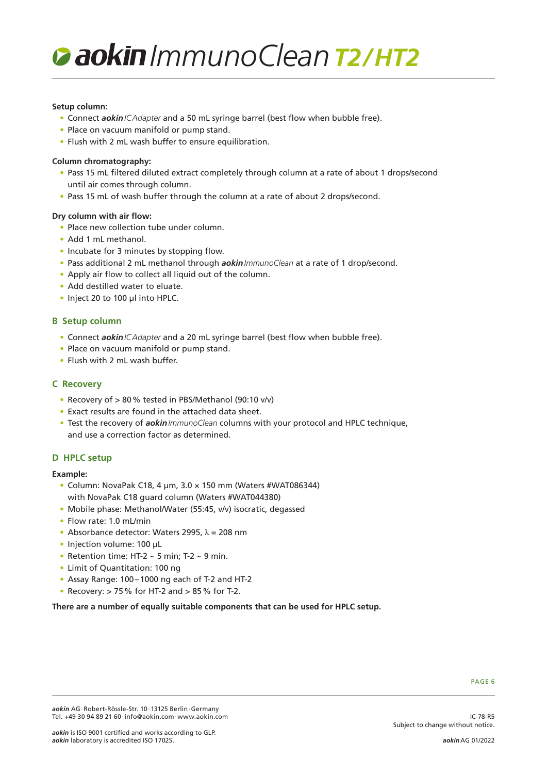# *ImmunoCleanT2/HT2*

#### **Setup column:**

- Connect *aokinICAdapter* and a 50 mL syringe barrel (best flow when bubble free).
- Place on vacuum manifold or pump stand.
- Flush with 2 mL wash buffer to ensure equilibration.

#### **Column chromatography:**

- Pass 15 mL filtered diluted extract completely through column at a rate of about 1 drops/second until air comes through column.
- Pass 15 mL of wash buffer through the column at a rate of about 2 drops/second.

#### **Dry column with air flow:**

- Place new collection tube under column.
- Add 1 mL methanol.
- Incubate for 3 minutes by stopping flow.
- Pass additional 2 mL methanol through *aokinImmunoClean* at a rate of 1 drop/second.
- Apply air flow to collect all liquid out of the column.
- Add destilled water to eluate.
- Inject 20 to 100 µl into HPLC.

#### **B Setup column**

- Connect *aokinICAdapter* and a 20 mL syringe barrel (best flow when bubble free).
- Place on vacuum manifold or pump stand.
- Flush with 2 mL wash buffer.

#### **C Recovery**

- Recovery of > 80% tested in PBS/Methanol (90:10 v/v)
- Exact results are found in the attached data sheet.
- Test the recovery of *aokinImmunoClean* columns with your protocol and HPLC technique, and use a correction factor as determined.

#### **D HPLC setup**

#### **Example:**

- Column: NovaPak C18, 4 µm, 3.0 × 150 mm (Waters #WAT086344) with NovaPak C18 guard column (Waters #WAT044380)
- Mobile phase: Methanol/Water (55:45, v/v) isocratic, degassed
- Flow rate: 1.0 mL/min
- Absorbance detector: Waters 2995,  $\lambda$  = 208 nm
- Injection volume: 100 µL
- Retention time: HT-2  $\sim$  5 min; T-2  $\sim$  9 min.
- Limit of Quantitation: 100 ng
- Assay Range: 100–1000 ng each of T-2 and HT-2
- Recovery:  $> 75$ % for HT-2 and  $> 85$ % for T-2.

#### **There are a number of equally suitable components that can be used for HPLC setup.**

IC-78-R5

Subject to change without notice.